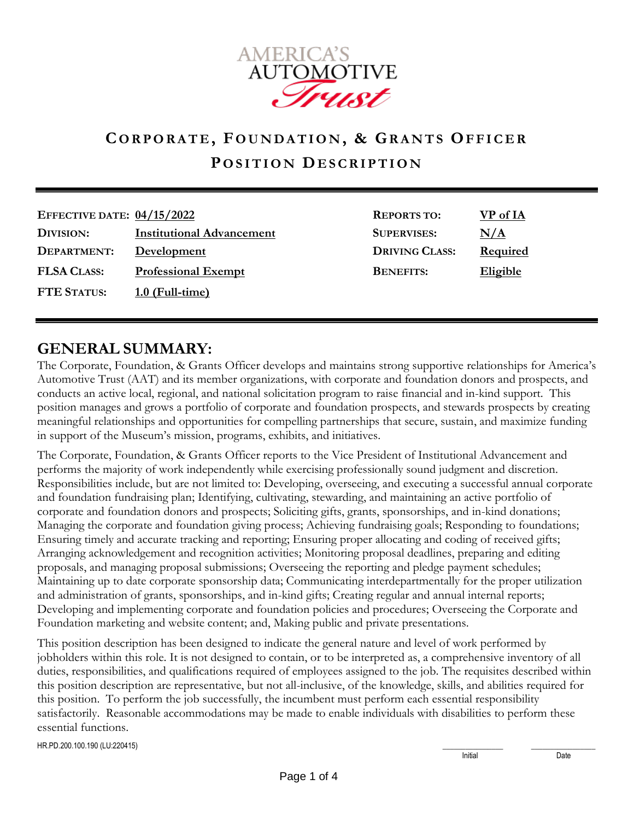

# **CO R P O R A T E , F O U N D A T I O N , & GR A N T S OF F I C E R P O S I T I O N DE S C R I P T I O N**

| EFFECTIVE DATE: $04/15/2022$ |                                  | <b>REPORTS TO:</b>    | VP of IA        |
|------------------------------|----------------------------------|-----------------------|-----------------|
| DIVISION:                    | <b>Institutional Advancement</b> | <b>SUPERVISES:</b>    | N/A             |
| DEPARTMENT:                  | Development                      | <b>DRIVING CLASS:</b> | <b>Required</b> |
| <b>FLSA CLASS:</b>           | <b>Professional Exempt</b>       | <b>BENEFITS:</b>      | <b>Eligible</b> |
| <b>FTE STATUS:</b>           | $1.0$ (Full-time)                |                       |                 |

#### **GENERAL SUMMARY:**

The Corporate, Foundation, & Grants Officer develops and maintains strong supportive relationships for America's Automotive Trust (AAT) and its member organizations, with corporate and foundation donors and prospects, and conducts an active local, regional, and national solicitation program to raise financial and in-kind support. This position manages and grows a portfolio of corporate and foundation prospects, and stewards prospects by creating meaningful relationships and opportunities for compelling partnerships that secure, sustain, and maximize funding in support of the Museum's mission, programs, exhibits, and initiatives.

The Corporate, Foundation, & Grants Officer reports to the Vice President of Institutional Advancement and performs the majority of work independently while exercising professionally sound judgment and discretion. Responsibilities include, but are not limited to: Developing, overseeing, and executing a successful annual corporate and foundation fundraising plan; Identifying, cultivating, stewarding, and maintaining an active portfolio of corporate and foundation donors and prospects; Soliciting gifts, grants, sponsorships, and in-kind donations; Managing the corporate and foundation giving process; Achieving fundraising goals; Responding to foundations; Ensuring timely and accurate tracking and reporting; Ensuring proper allocating and coding of received gifts; Arranging acknowledgement and recognition activities; Monitoring proposal deadlines, preparing and editing proposals, and managing proposal submissions; Overseeing the reporting and pledge payment schedules; Maintaining up to date corporate sponsorship data; Communicating interdepartmentally for the proper utilization and administration of grants, sponsorships, and in-kind gifts; Creating regular and annual internal reports; Developing and implementing corporate and foundation policies and procedures; Overseeing the Corporate and Foundation marketing and website content; and, Making public and private presentations.

This position description has been designed to indicate the general nature and level of work performed by jobholders within this role. It is not designed to contain, or to be interpreted as, a comprehensive inventory of all duties, responsibilities, and qualifications required of employees assigned to the job. The requisites described within this position description are representative, but not all-inclusive, of the knowledge, skills, and abilities required for this position. To perform the job successfully, the incumbent must perform each essential responsibility satisfactorily. Reasonable accommodations may be made to enable individuals with disabilities to perform these essential functions.

HR.PD.200.100.190 (LU:220415) \_\_\_\_\_\_\_\_\_\_\_\_\_\_\_\_ \_\_\_\_\_\_\_\_\_\_\_\_\_\_\_\_\_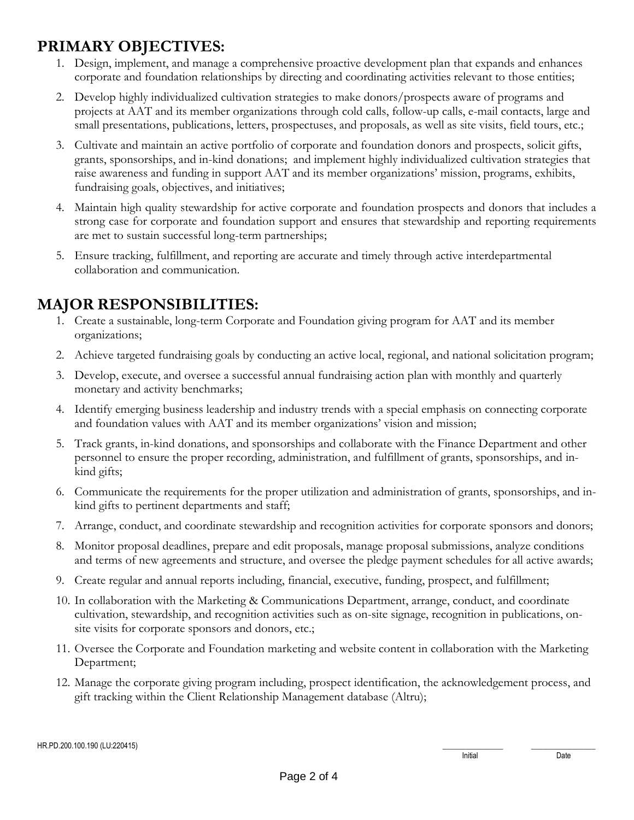## **PRIMARY OBJECTIVES:**

- 1. Design, implement, and manage a comprehensive proactive development plan that expands and enhances corporate and foundation relationships by directing and coordinating activities relevant to those entities;
- 2. Develop highly individualized cultivation strategies to make donors/prospects aware of programs and projects at AAT and its member organizations through cold calls, follow-up calls, e-mail contacts, large and small presentations, publications, letters, prospectuses, and proposals, as well as site visits, field tours, etc.;
- 3. Cultivate and maintain an active portfolio of corporate and foundation donors and prospects, solicit gifts, grants, sponsorships, and in-kind donations; and implement highly individualized cultivation strategies that raise awareness and funding in support AAT and its member organizations' mission, programs, exhibits, fundraising goals, objectives, and initiatives;
- 4. Maintain high quality stewardship for active corporate and foundation prospects and donors that includes a strong case for corporate and foundation support and ensures that stewardship and reporting requirements are met to sustain successful long-term partnerships;
- 5. Ensure tracking, fulfillment, and reporting are accurate and timely through active interdepartmental collaboration and communication.

## **MAJOR RESPONSIBILITIES:**

- 1. Create a sustainable, long-term Corporate and Foundation giving program for AAT and its member organizations;
- 2. Achieve targeted fundraising goals by conducting an active local, regional, and national solicitation program;
- 3. Develop, execute, and oversee a successful annual fundraising action plan with monthly and quarterly monetary and activity benchmarks;
- 4. Identify emerging business leadership and industry trends with a special emphasis on connecting corporate and foundation values with AAT and its member organizations' vision and mission;
- 5. Track grants, in-kind donations, and sponsorships and collaborate with the Finance Department and other personnel to ensure the proper recording, administration, and fulfillment of grants, sponsorships, and inkind gifts;
- 6. Communicate the requirements for the proper utilization and administration of grants, sponsorships, and inkind gifts to pertinent departments and staff;
- 7. Arrange, conduct, and coordinate stewardship and recognition activities for corporate sponsors and donors;
- 8. Monitor proposal deadlines, prepare and edit proposals, manage proposal submissions, analyze conditions and terms of new agreements and structure, and oversee the pledge payment schedules for all active awards;
- 9. Create regular and annual reports including, financial, executive, funding, prospect, and fulfillment;
- 10. In collaboration with the Marketing & Communications Department, arrange, conduct, and coordinate cultivation, stewardship, and recognition activities such as on-site signage, recognition in publications, onsite visits for corporate sponsors and donors, etc.;
- 11. Oversee the Corporate and Foundation marketing and website content in collaboration with the Marketing Department;
- 12. Manage the corporate giving program including, prospect identification, the acknowledgement process, and gift tracking within the Client Relationship Management database (Altru);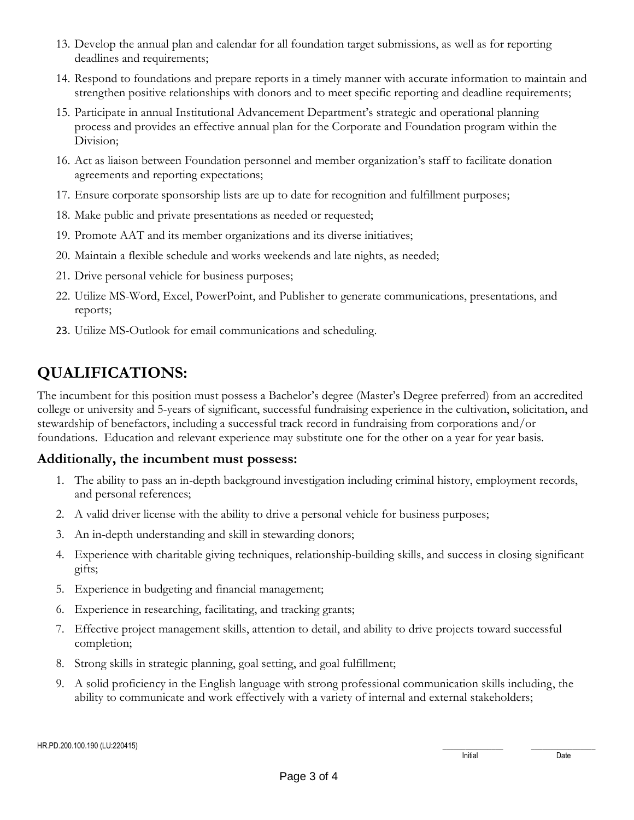- 13. Develop the annual plan and calendar for all foundation target submissions, as well as for reporting deadlines and requirements;
- 14. Respond to foundations and prepare reports in a timely manner with accurate information to maintain and strengthen positive relationships with donors and to meet specific reporting and deadline requirements;
- 15. Participate in annual Institutional Advancement Department's strategic and operational planning process and provides an effective annual plan for the Corporate and Foundation program within the Division;
- 16. Act as liaison between Foundation personnel and member organization's staff to facilitate donation agreements and reporting expectations;
- 17. Ensure corporate sponsorship lists are up to date for recognition and fulfillment purposes;
- 18. Make public and private presentations as needed or requested;
- 19. Promote AAT and its member organizations and its diverse initiatives;
- 20. Maintain a flexible schedule and works weekends and late nights, as needed;
- 21. Drive personal vehicle for business purposes;
- 22. Utilize MS-Word, Excel, PowerPoint, and Publisher to generate communications, presentations, and reports;
- 23. Utilize MS-Outlook for email communications and scheduling.

## **QUALIFICATIONS:**

The incumbent for this position must possess a Bachelor's degree (Master's Degree preferred) from an accredited college or university and 5-years of significant, successful fundraising experience in the cultivation, solicitation, and stewardship of benefactors, including a successful track record in fundraising from corporations and/or foundations. Education and relevant experience may substitute one for the other on a year for year basis.

#### **Additionally, the incumbent must possess:**

- 1. The ability to pass an in-depth background investigation including criminal history, employment records, and personal references;
- 2. A valid driver license with the ability to drive a personal vehicle for business purposes;
- 3. An in-depth understanding and skill in stewarding donors;
- 4. Experience with charitable giving techniques, relationship-building skills, and success in closing significant gifts;
- 5. Experience in budgeting and financial management;
- 6. Experience in researching, facilitating, and tracking grants;
- 7. Effective project management skills, attention to detail, and ability to drive projects toward successful completion;
- 8. Strong skills in strategic planning, goal setting, and goal fulfillment;
- 9. A solid proficiency in the English language with strong professional communication skills including, the ability to communicate and work effectively with a variety of internal and external stakeholders;